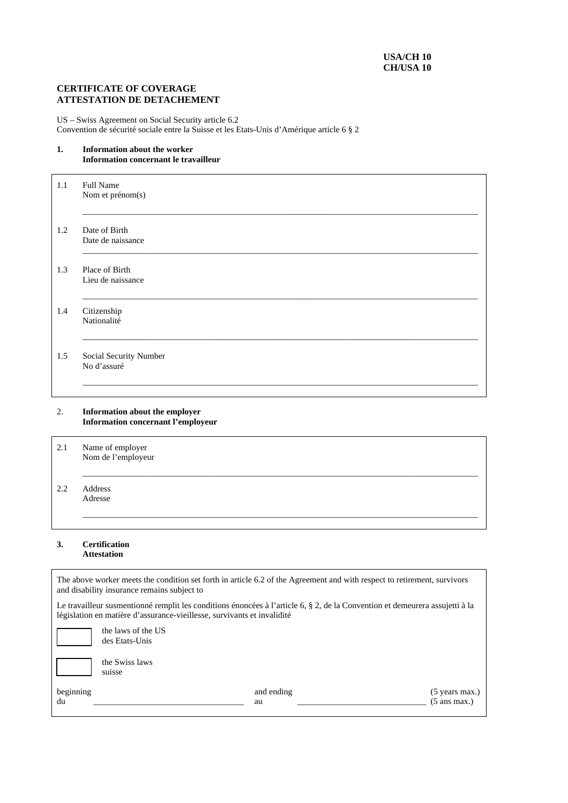# **CERTIFICATE OF COVERAGE ATTESTATION DE DETACHEMENT**

US – Swiss Agreement on Social Security article 6.2 Convention de sécurité sociale entre la Suisse et les Etats-Unis d'Amérique article 6 § 2

### **1. Information about the worker Information concernant le travailleur**

| 1.1 | <b>Full Name</b><br>Nom et prénom(s)  |
|-----|---------------------------------------|
|     |                                       |
| 1.2 | Date of Birth<br>Date de naissance    |
| 1.3 | Place of Birth<br>Lieu de naissance   |
| 1.4 | Citizenship<br>Nationalité            |
| 1.5 | Social Security Number<br>No d'assuré |
|     |                                       |

2. **Information about the employer Information concernant l'employeur**

| 2.1 | Name of employer<br>Nom de l'employeur |
|-----|----------------------------------------|
| 2.2 | Address<br>Adresse                     |

#### **3. Certification Attestation**

| The above worker meets the condition set forth in article 6.2 of the Agreement and with respect to retirement, survivors<br>and disability insurance remains subject to                                 |                                      |                  |                                            |  |
|---------------------------------------------------------------------------------------------------------------------------------------------------------------------------------------------------------|--------------------------------------|------------------|--------------------------------------------|--|
| Le travailleur susmentionné remplit les conditions énoncées à l'article 6, § 2, de la Convention et demeurera assujetti à la<br>législation en matière d'assurance-vieillesse, survivants et invalidité |                                      |                  |                                            |  |
|                                                                                                                                                                                                         | the laws of the US<br>des Etats-Unis |                  |                                            |  |
|                                                                                                                                                                                                         | the Swiss laws<br>suisse             |                  |                                            |  |
| beginning<br>du                                                                                                                                                                                         |                                      | and ending<br>au | $(5$ years max.)<br>$(5 \text{ ans max.})$ |  |